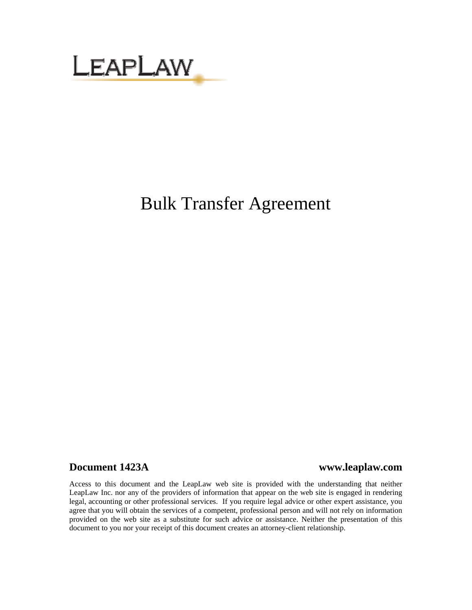

# Bulk Transfer Agreement

## **Document 1423A www.leaplaw.com**

Access to this document and the LeapLaw web site is provided with the understanding that neither LeapLaw Inc. nor any of the providers of information that appear on the web site is engaged in rendering legal, accounting or other professional services. If you require legal advice or other expert assistance, you agree that you will obtain the services of a competent, professional person and will not rely on information provided on the web site as a substitute for such advice or assistance. Neither the presentation of this document to you nor your receipt of this document creates an attorney-client relationship.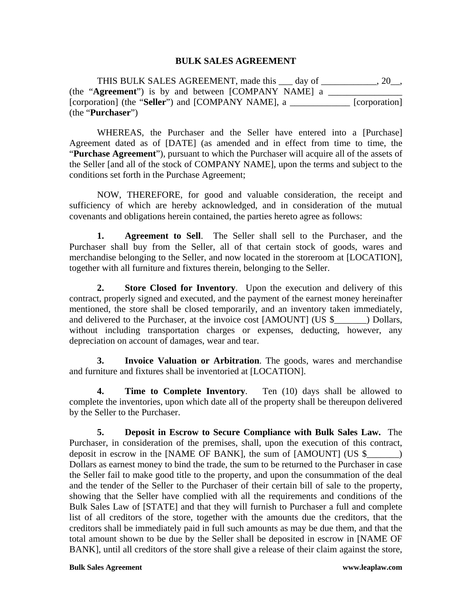### **BULK SALES AGREEMENT**

THIS BULK SALES AGREEMENT, made this day of  $\qquad \qquad .20$ . (the "**Agreement**") is by and between [COMPANY NAME] a \_\_\_\_\_\_\_\_\_\_\_\_\_\_\_\_ [corporation] (the "**Seller**") and [COMPANY NAME], a \_\_\_\_\_\_\_\_\_\_\_\_\_ [corporation] (the "**Purchaser**")

WHEREAS, the Purchaser and the Seller have entered into a [Purchase] Agreement dated as of [DATE] (as amended and in effect from time to time, the "**Purchase Agreement**"), pursuant to which the Purchaser will acquire all of the assets of the Seller [and all of the stock of COMPANY NAME], upon the terms and subject to the conditions set forth in the Purchase Agreement;

NOW, THEREFORE, for good and valuable consideration, the receipt and sufficiency of which are hereby acknowledged, and in consideration of the mutual covenants and obligations herein contained, the parties hereto agree as follows:

**1. Agreement to Sell**. The Seller shall sell to the Purchaser, and the Purchaser shall buy from the Seller, all of that certain stock of goods, wares and merchandise belonging to the Seller, and now located in the storeroom at [LOCATION], together with all furniture and fixtures therein, belonging to the Seller.

**2. Store Closed for Inventory**. Upon the execution and delivery of this contract, properly signed and executed, and the payment of the earnest money hereinafter mentioned, the store shall be closed temporarily, and an inventory taken immediately, and delivered to the Purchaser, at the invoice cost [AMOUNT] (US \$\_\_\_\_\_\_\_) Dollars, without including transportation charges or expenses, deducting, however, any depreciation on account of damages, wear and tear.

**3. Invoice Valuation or Arbitration**. The goods, wares and merchandise and furniture and fixtures shall be inventoried at [LOCATION].

**4. Time to Complete Inventory**. Ten (10) days shall be allowed to complete the inventories, upon which date all of the property shall be thereupon delivered by the Seller to the Purchaser.

**5. Deposit in Escrow to Secure Compliance with Bulk Sales Law.** The Purchaser, in consideration of the premises, shall, upon the execution of this contract, deposit in escrow in the [NAME OF BANK], the sum of [AMOUNT] (US \$\_\_\_\_\_\_\_) Dollars as earnest money to bind the trade, the sum to be returned to the Purchaser in case the Seller fail to make good title to the property, and upon the consummation of the deal and the tender of the Seller to the Purchaser of their certain bill of sale to the property, showing that the Seller have complied with all the requirements and conditions of the Bulk Sales Law of [STATE] and that they will furnish to Purchaser a full and complete list of all creditors of the store, together with the amounts due the creditors, that the creditors shall be immediately paid in full such amounts as may be due them, and that the total amount shown to be due by the Seller shall be deposited in escrow in [NAME OF BANK], until all creditors of the store shall give a release of their claim against the store,

**Bulk Sales Agreement www.leaplaw.com**